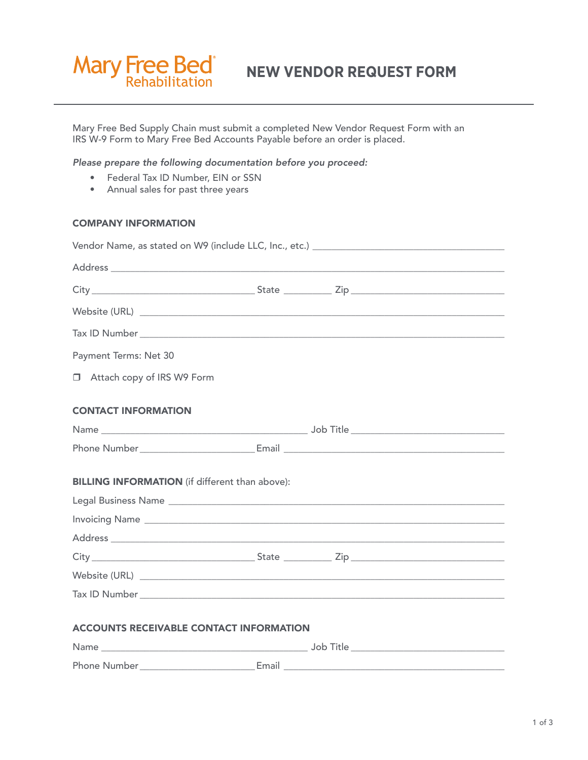

**NEW VENDOR REQUEST FORM**

Mary Free Bed Supply Chain must submit a completed New Vendor Request Form with an IRS W-9 Form to Mary Free Bed Accounts Payable before an order is placed.

## *Please prepare the following documentation before you proceed:*

- Federal Tax ID Number, EIN or SSN
- Annual sales for past three years

## COMPANY INFORMATION

| Payment Terms: Net 30                                 |  |  |  |  |  |  |  |  |
|-------------------------------------------------------|--|--|--|--|--|--|--|--|
| Attach copy of IRS W9 Form                            |  |  |  |  |  |  |  |  |
| <b>CONTACT INFORMATION</b>                            |  |  |  |  |  |  |  |  |
|                                                       |  |  |  |  |  |  |  |  |
|                                                       |  |  |  |  |  |  |  |  |
| <b>BILLING INFORMATION</b> (if different than above): |  |  |  |  |  |  |  |  |
|                                                       |  |  |  |  |  |  |  |  |
|                                                       |  |  |  |  |  |  |  |  |
|                                                       |  |  |  |  |  |  |  |  |
|                                                       |  |  |  |  |  |  |  |  |
|                                                       |  |  |  |  |  |  |  |  |
|                                                       |  |  |  |  |  |  |  |  |
| <b>ACCOUNTS RECEIVABLE CONTACT INFORMATION</b>        |  |  |  |  |  |  |  |  |

| Name         | - J M |  |
|--------------|-------|--|
| Phone Number | Email |  |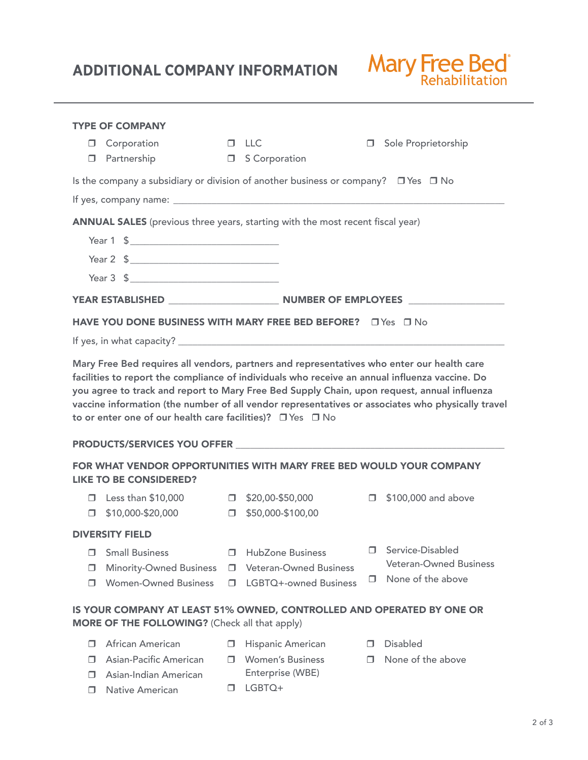## **ADDITIONAL COMPANY INFORMATION**

 $\Box$  Native American



|                                                                                                                                                                                                                                                                                                                                                                  | <b>TYPE OF COMPANY</b>         |   |                               |        |                               |  |  |  |  |
|------------------------------------------------------------------------------------------------------------------------------------------------------------------------------------------------------------------------------------------------------------------------------------------------------------------------------------------------------------------|--------------------------------|---|-------------------------------|--------|-------------------------------|--|--|--|--|
| □                                                                                                                                                                                                                                                                                                                                                                | Corporation                    |   | $\Box$ LLC                    |        | Sole Proprietorship           |  |  |  |  |
| $\Box$                                                                                                                                                                                                                                                                                                                                                           | Partnership                    |   | □ S Corporation               |        |                               |  |  |  |  |
| Is the company a subsidiary or division of another business or company? $\Box$ Yes $\Box$ No                                                                                                                                                                                                                                                                     |                                |   |                               |        |                               |  |  |  |  |
|                                                                                                                                                                                                                                                                                                                                                                  |                                |   |                               |        |                               |  |  |  |  |
| ANNUAL SALES (previous three years, starting with the most recent fiscal year)                                                                                                                                                                                                                                                                                   |                                |   |                               |        |                               |  |  |  |  |
|                                                                                                                                                                                                                                                                                                                                                                  | Year 1 \$                      |   |                               |        |                               |  |  |  |  |
|                                                                                                                                                                                                                                                                                                                                                                  | Year 2 \$                      |   |                               |        |                               |  |  |  |  |
|                                                                                                                                                                                                                                                                                                                                                                  | Year 3 \$                      |   |                               |        |                               |  |  |  |  |
|                                                                                                                                                                                                                                                                                                                                                                  |                                |   |                               |        |                               |  |  |  |  |
| <b>HAVE YOU DONE BUSINESS WITH MARY FREE BED BEFORE?</b> □ Yes □ No                                                                                                                                                                                                                                                                                              |                                |   |                               |        |                               |  |  |  |  |
|                                                                                                                                                                                                                                                                                                                                                                  |                                |   |                               |        |                               |  |  |  |  |
| facilities to report the compliance of individuals who receive an annual influenza vaccine. Do<br>you agree to track and report to Mary Free Bed Supply Chain, upon request, annual influenza<br>vaccine information (the number of all vendor representatives or associates who physically travel<br>to or enter one of our health care facilities)? □ Yes □ No |                                |   |                               |        |                               |  |  |  |  |
| FOR WHAT VENDOR OPPORTUNITIES WITH MARY FREE BED WOULD YOUR COMPANY<br><b>LIKE TO BE CONSIDERED?</b>                                                                                                                                                                                                                                                             |                                |   |                               |        |                               |  |  |  |  |
| П.                                                                                                                                                                                                                                                                                                                                                               | Less than $$10,000$            |   | $\Box$ \$20,00-\$50,000       | $\Box$ | \$100,000 and above           |  |  |  |  |
| П.                                                                                                                                                                                                                                                                                                                                                               | \$10,000-\$20,000              |   | $\Box$ \$50,000-\$100,00      |        |                               |  |  |  |  |
| <b>DIVERSITY FIELD</b>                                                                                                                                                                                                                                                                                                                                           |                                |   |                               |        |                               |  |  |  |  |
| ⊓                                                                                                                                                                                                                                                                                                                                                                | <b>Small Business</b>          | п | <b>HubZone Business</b>       | п      | Service-Disabled              |  |  |  |  |
| п                                                                                                                                                                                                                                                                                                                                                                | <b>Minority-Owned Business</b> | п | <b>Veteran-Owned Business</b> |        | <b>Veteran-Owned Business</b> |  |  |  |  |
| п                                                                                                                                                                                                                                                                                                                                                                | <b>Women-Owned Business</b>    | п | LGBTQ+-owned Business         | п      | None of the above             |  |  |  |  |
| IS YOUR COMPANY AT LEAST 51% OWNED, CONTROLLED AND OPERATED BY ONE OR<br>MORE OF THE FOLLOWING? (Check all that apply)                                                                                                                                                                                                                                           |                                |   |                               |        |                               |  |  |  |  |
| п                                                                                                                                                                                                                                                                                                                                                                | African American               | □ | Hispanic American             | $\Box$ | <b>Disabled</b>               |  |  |  |  |
| П                                                                                                                                                                                                                                                                                                                                                                | <b>Asian-Pacific American</b>  | п | <b>Women's Business</b>       | п      | None of the above             |  |  |  |  |
|                                                                                                                                                                                                                                                                                                                                                                  | Asian-Indian American          |   | Enterprise (WBE)              |        |                               |  |  |  |  |

 $\Box$  LGBTQ+